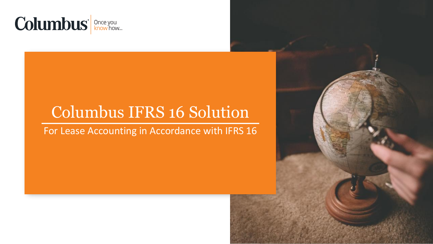

# Columbus IFRS 16 Solution

## For Lease Accounting in Accordance with IFRS 16

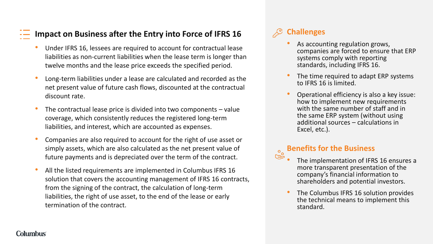#### **Impact on Business after the Entry into Force of IFRS 16**

- Under IFRS 16, lessees are required to account for contractual lease liabilities as non-current liabilities when the lease term is longer than twelve months and the lease price exceeds the specified period.
- Long-term liabilities under a lease are calculated and recorded as the net present value of future cash flows, discounted at the contractual discount rate.
- The contractual lease price is divided into two components  $-$  value coverage, which consistently reduces the registered long-term liabilities, and interest, which are accounted as expenses.
- Companies are also required to account for the right of use asset or simply assets, which are also calculated as the net present value of future payments and is depreciated over the term of the contract.
- All the listed requirements are implemented in Columbus IFRS 16 solution that covers the accounting management of IFRS 16 contracts, from the signing of the contract, the calculation of long-term liabilities, the right of use asset, to the end of the lease or early termination of the contract.

## **Challenges**

- As accounting regulation grows, companies are forced to ensure that ERP systems comply with reporting standards, including IFRS 16.
- The time required to adapt ERP systems to IFRS 16 is limited.
- Operational efficiency is also a key issue: how to implement new requirements with the same number of staff and in the same ERP system (without using additional sources – calculations in Excel, etc.).

#### **Benefits for the Business** ௹

- The implementation of IFRS 16 ensures a more transparent presentation of the company's financial information to shareholders and potential investors.
- The Columbus IFRS 16 solution provides the technical means to implement this standard.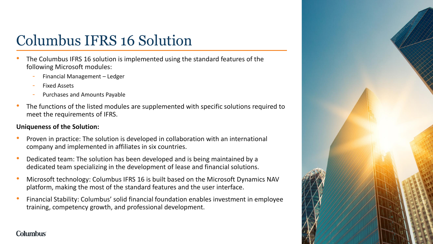# Columbus IFRS 16 Solution

- The Columbus IFRS 16 solution is implemented using the standard features of the following Microsoft modules:
	- ‐ Financial Management Ledger
	- ‐ Fixed Assets
	- ‐ Purchases and Amounts Payable
- The functions of the listed modules are supplemented with specific solutions required to meet the requirements of IFRS.

#### **Uniqueness of the Solution:**

- Proven in practice: The solution is developed in collaboration with an international company and implemented in affiliates in six countries.
- Dedicated team: The solution has been developed and is being maintained by a dedicated team specializing in the development of lease and financial solutions.
- Microsoft technology: Columbus IFRS 16 is built based on the Microsoft Dynamics NAV platform, making the most of the standard features and the user interface.
- Financial Stability: Columbus' solid financial foundation enables investment in employee training, competency growth, and professional development.

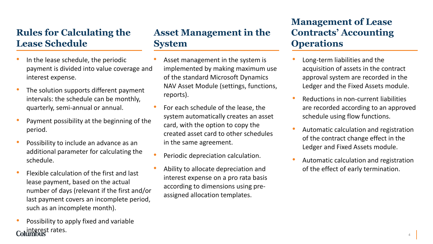## **Rules for Calculating the Lease Schedule**

- In the lease schedule, the periodic payment is divided into value coverage and interest expense.
- The solution supports different payment intervals: the schedule can be monthly, quarterly, semi-annual or annual.
- Payment possibility at the beginning of the period.
- Possibility to include an advance as an additional parameter for calculating the schedule.
- Flexible calculation of the first and last lease payment, based on the actual number of days (relevant if the first and/or last payment covers an incomplete period, such as an incomplete month).
- Possibility to apply fixed and variable terest rates.

## **Asset Management in the System**

- Asset management in the system is implemented by making maximum use of the standard Microsoft Dynamics NAV Asset Module (settings, functions, reports).
- For each schedule of the lease, the system automatically creates an asset card, with the option to copy the created asset card to other schedules in the same agreement.
- Periodic depreciation calculation.
- Ability to allocate depreciation and interest expense on a pro rata basis according to dimensions using preassigned allocation templates.

## **Management of Lease Contracts' Accounting Operations**

- Long-term liabilities and the acquisition of assets in the contract approval system are recorded in the Ledger and the Fixed Assets module.
- Reductions in non-current liabilities are recorded according to an approved schedule using flow functions.
- Automatic calculation and registration of the contract change effect in the Ledger and Fixed Assets module.
- Automatic calculation and registration of the effect of early termination.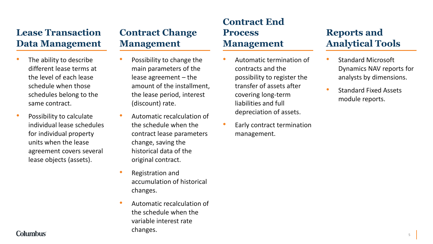### **Lease Transaction Data Management**

- The ability to describe different lease terms at the level of each lease schedule when those schedules belong to the same contract.
- Possibility to calculate individual lease schedules for individual property units when the lease agreement covers several lease objects (assets).

## **Contract Change Management**

- Possibility to change the main parameters of the lease agreement – the amount of the installment, the lease period, interest (discount) rate.
- Automatic recalculation of the schedule when the contract lease parameters change, saving the historical data of the original contract.
- Registration and accumulation of historical changes.
- Automatic recalculation of the schedule when the variable interest rate changes.

### **Contract End Process Management**

- Automatic termination of contracts and the possibility to register the transfer of assets after covering long-term liabilities and full depreciation of assets.
- Early contract termination management.

# **Reports and Analytical Tools**

- Standard Microsoft Dynamics NAV reports for analysts by dimensions.
- Standard Fixed Assets module reports.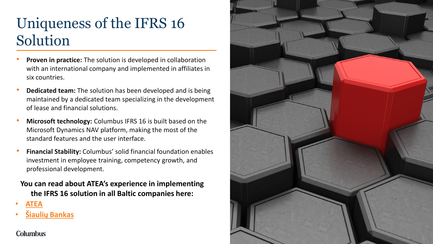# Uniqueness of the IFRS 16 Solution

- **Proven in practice:** The solution is developed in collaboration with an international company and implemented in affiliates in six countries.
- **Dedicated team:** The solution has been developed and is being maintained by a dedicated team specializing in the development of lease and financial solutions.
- **Microsoft technology:** Columbus IFRS 16 is built based on the Microsoft Dynamics NAV platform, making the most of the standard features and the user interface.
- **Financial Stability:** Columbus' solid financial foundation enables investment in employee training, competency growth, and professional development.

#### **You can read about ATEA's experience in implementing the IFRS 16 solution in all Baltic companies here:**

- **[ATEA](https://pages.columbusglobal.com/lt/klientu-patirtys/atea)**
- **[Šiaulių Bankas](https://pages.columbusglobal.com/lt/klientu-patirtys/siauliu-bankas/provided-calculation-and-disclosures-of-new-standard-to-the-management-of-bank-and-audit-company-on-time)**

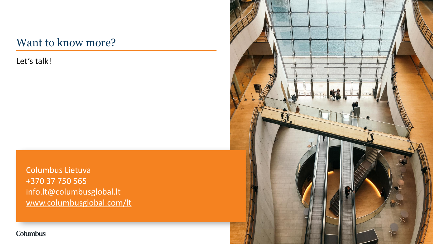# Want to know more?

Let's talk!

Columbus Lietuva +370 37 750 565 info.lt@columbusglobal.lt [www.columbusglobal.com/lt](http://www.columbusglobal.com/lt) IA.